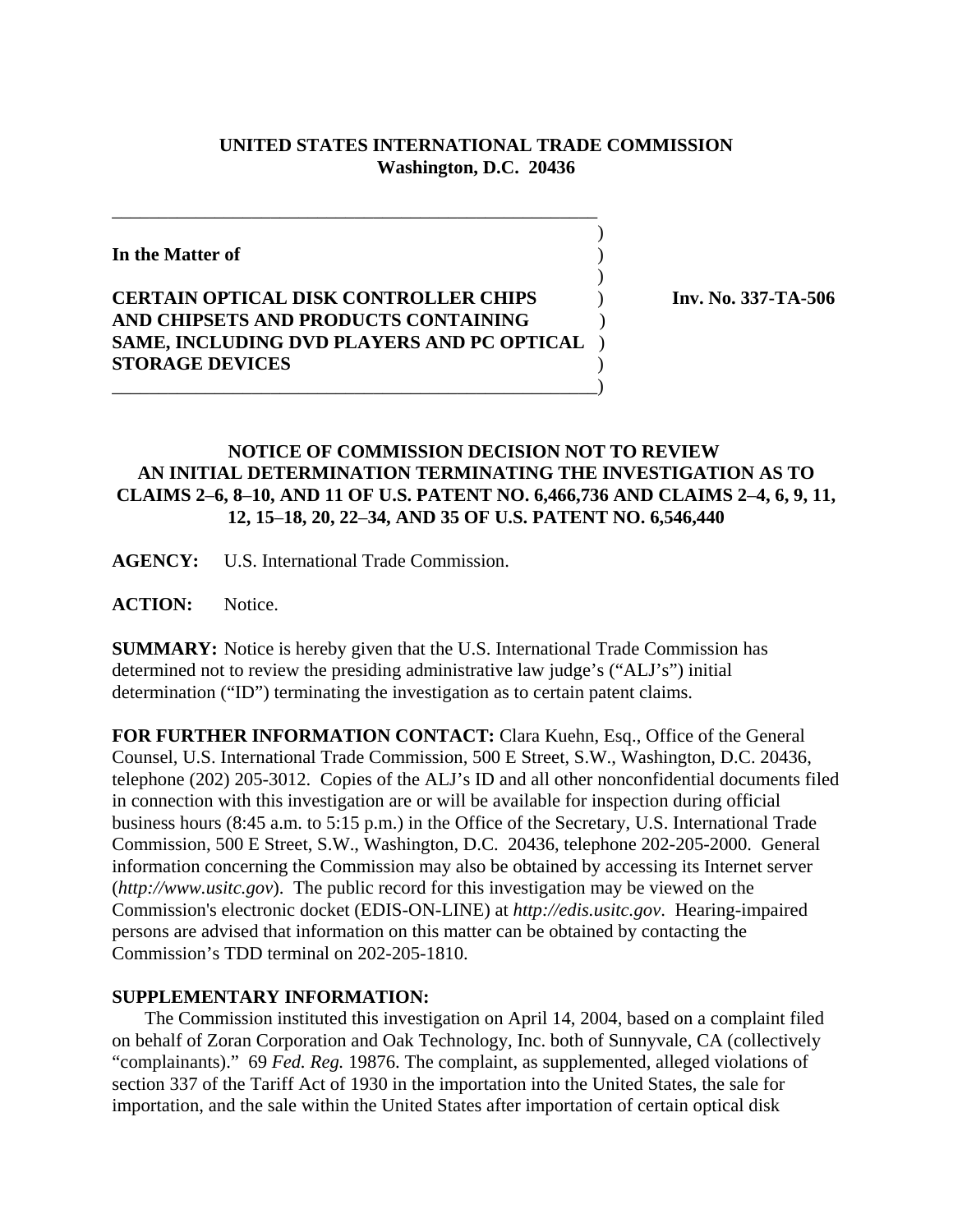## **UNITED STATES INTERNATIONAL TRADE COMMISSION Washington, D.C. 20436**

 $\overline{\phantom{a}}$ 

 $\overline{\phantom{a}}$ 

**In the Matter of** )

## **CERTAIN OPTICAL DISK CONTROLLER CHIPS** ) **Inv. No. 337-TA-506 AND CHIPSETS AND PRODUCTS CONTAINING** ) **SAME, INCLUDING DVD PLAYERS AND PC OPTICAL** ) **STORAGE DEVICES** ) \_\_\_\_\_\_\_\_\_\_\_\_\_\_\_\_\_\_\_\_\_\_\_\_\_\_\_\_\_\_\_\_\_\_\_\_\_\_\_\_\_\_\_\_\_\_\_\_\_\_\_\_)

\_\_\_\_\_\_\_\_\_\_\_\_\_\_\_\_\_\_\_\_\_\_\_\_\_\_\_\_\_\_\_\_\_\_\_\_\_\_\_\_\_\_\_\_\_\_\_\_\_\_\_\_

## **NOTICE OF COMMISSION DECISION NOT TO REVIEW AN INITIAL DETERMINATION TERMINATING THE INVESTIGATION AS TO CLAIMS 2**–**6, 8**–**10, AND 11 OF U.S. PATENT NO. 6,466,736 AND CLAIMS 2**–**4, 6, 9, 11, 12, 15**–**18, 20, 22**–**34, AND 35 OF U.S. PATENT NO. 6,546,440**

**AGENCY:** U.S. International Trade Commission.

ACTION: Notice.

**SUMMARY:** Notice is hereby given that the U.S. International Trade Commission has determined not to review the presiding administrative law judge's ("ALJ's") initial determination ("ID") terminating the investigation as to certain patent claims.

**FOR FURTHER INFORMATION CONTACT:** Clara Kuehn, Esq., Office of the General Counsel, U.S. International Trade Commission, 500 E Street, S.W., Washington, D.C. 20436, telephone (202) 205-3012. Copies of the ALJ's ID and all other nonconfidential documents filed in connection with this investigation are or will be available for inspection during official business hours (8:45 a.m. to 5:15 p.m.) in the Office of the Secretary, U.S. International Trade Commission, 500 E Street, S.W., Washington, D.C. 20436, telephone 202-205-2000. General information concerning the Commission may also be obtained by accessing its Internet server (*http://www.usitc.gov*). The public record for this investigation may be viewed on the Commission's electronic docket (EDIS-ON-LINE) at *http://edis.usitc.gov*. Hearing-impaired persons are advised that information on this matter can be obtained by contacting the Commission's TDD terminal on 202-205-1810.

## **SUPPLEMENTARY INFORMATION:**

 The Commission instituted this investigation on April 14, 2004, based on a complaint filed on behalf of Zoran Corporation and Oak Technology, Inc. both of Sunnyvale, CA (collectively "complainants)." 69 *Fed. Reg.* 19876. The complaint, as supplemented, alleged violations of section 337 of the Tariff Act of 1930 in the importation into the United States, the sale for importation, and the sale within the United States after importation of certain optical disk